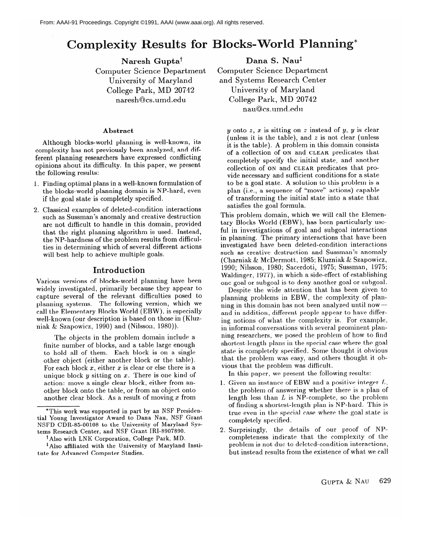# exity Results for Blocks-World Planning\*

Naresh Gupta<sup>†</sup> Computer Science Department University of Maryland College Park, MD 20742 naresh@cs.umd.edu

#### **Abstract**

Although blocks-world planning is well-known, its complexity has not previously been analyzed, and different planning researchers have expressed conflicting ferent planning researchers have expressed conflicting opinions about its difficulty. In this paper, we present

- the following results:<br>1. Finding optimal plans in a well-known formulation of the blocks-world planning domain is NP-hard, even the blocks-world planning domain is  $N_1$ -hard, even if the goal state is completely specified.
- 2. Classical examples of deleted-condition interactions are not difficult to handle in this domain, provided that the right planning algorithm is used. Instead, the NP-hardness of the problem results from difficulties in determining which of several different actions will best help to achieve multiple goals. will be to achieve multiple goals.

**Introduction**<br>Various versions of blocks-world planning have been widely investigated, primarily because they appear to capture several of the relevant difficulties posed to planning systems. The following version, which we call the Elementary Blocks World (EBW), is especially well-known (our description is based on those in (Kluzniak & Szapowicz, 1990) and (Nilsson, 1980)).

The objects in the problem domain include a finite number of blocks, and a table large enough to hold all of them. Each block is on a single other object (either another block or the table). For each block  $x$ , either  $x$  is clear or else there is a unique block  $y$  sitting on  $x$ . There is one kind of action: move a single clear block, either from another block onto the table, or from an object onto another clear block. As a result of moving  $x$  from

Dana S. Nau<sup>t</sup> Computer Science Department and Systems Research Center University of Maryland College Park, MD 20742 nau@cs.umd.edu

y onto  $z$ ,  $x$  is sitting on  $z$  instead of  $y$ ,  $y$  is clear (unless it is the table), and  $z$  is not clear (unless it is the table). A problem in this domain consists of a collection of ON and CLEAR predicates that completely specify the initial state, and another collection of  $ON$  and CLEAR predicates that provide necessary and sufficient conditions for a state to be a goal state. A solution to this problem is a plan (i.e., a sequence of "move" actions) capable of transforming the initial state into a state that satisfies the goal formula.

This problem domain, which we will call the Elementary Blocks World (EBW), has been particularly useful in investigations of goal and subgoal interactions in planning. The primary interactions that have been investigated have been deleted-condition interactions such as creative destruction and Sussman's anomaly (Charniak & McDermott, 1985; Kluzniak & Szapowicz, 1990; Nilsson, 1980; Sacerdoti, 1975; Sussman, 1975; Waldinger, 1977), in which a side-effect of establishing one goal or subgoal is to deny another goal or subgoal.

Despite the wide attention that has been given to planning problems in EBW, the complexity of planning in this domain has not been analyzed until nowand in addition, different people appear to have differing notions of what the complexity is. For example, in informal conversations with several prominent planning researchers, we posed the problem of how to find shortest-length plans in the special case where the goal state is completely specified. Some thought it obvious that the problem was easy, and others thought it obvious that the problem was difficult.

In this paper, we present the following results:

- 1. Given an instance of EBW and a positive integer  $L$ , the problem of answering whether there is a plan of length less than  $L$  is NP-complete, so the problem of finding a shortest-length plan is NP-hard. This is true even in the special case where the goal state is completely specified.
- 2. Surprisingly, the details of our proof of NPcompleteness indicate that the complexity of the problem is not due to deleted-condition interactions, but instead results from the existence of what we call

<sup>\*</sup>This work was supported in part by an NSF Presidential Young Investigator Award to Dana Nau, NSF Grant NSFD CDR-85-00108 to the University of Maryland Systems Research Center, and NSF Grant IRI-8907890.

<sup>&</sup>lt;sup>†</sup> Also with LNK Corporation, College Park, MD.

<sup>&</sup>lt;sup>‡</sup> Also affiliated with the University of Maryland Institute for Advanced Computer Studies.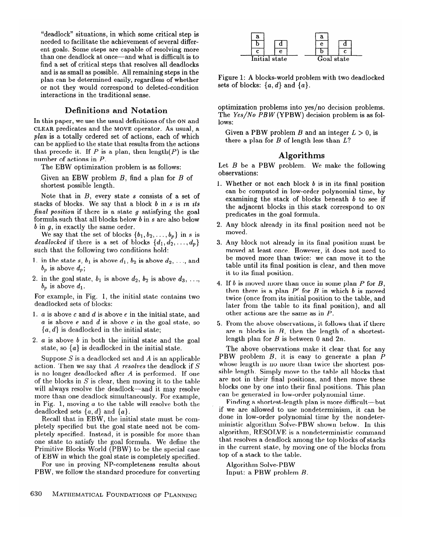"deadlock" situations, in which some critical step is needed to facilitate the achievement of several different goals. Some steps are capable of resolving more than one deadlock at once—and what is difficult is to find a set of critical steps that resolves all deadlocks and is as small as possible. All remaining steps in the plan can be determined easily, regardless of whether or not they would correspond to deleted-condition interactions in the traditional sense.

### **Definitions and Notation**

In this paper, we use the usual definitions of the **ON** and **CLEAR** predicates and the **MOVE** operator. As usual, a *plan* is a totally ordered set of actions, each of which can be applied to the state that results from the actions that precede it. If P is a plan, then length(P) is the number of actions in P.

The EBW optimization problem is as follows:

Given an EBW problem  $B$ , find a plan for  $B$  of shortest possible length.

Note that in  $B$ , every state  $s$  consists of a set of stacks of blocks. We say that a block b in s is *in ifs final position* if there is a state g satisfying the goal formula such that all blocks below *b* in s are also below *b* in *q*, in exactly the same order.

We say that the set of blocks  $\{b_1, b_2, \ldots, b_p\}$  in s is *deadlocked* if there is a set of blocks  $\{d_1, d_2, \ldots, d_p\}$ such that the following two conditions hold:

- 1. in the state  $s, b_1$  is above  $d_1, b_2$  is above  $d_2, \ldots$ , and  $b_p$  is above  $d_p$ ;
- 2. in the goal state,  $b_1$  is above  $d_2$ ,  $b_2$  is above  $d_3$ , ...,  $b_p$  is above  $d_1$ .

For example, in Fig. 1, the initial state contains two deadlocked sets of blocks:

- 1. a is above c and *d* is above e in the initial state, and *a* is above e and *d* is above c in the goal state, so *{a, d}* is deadlocked in the initial state;
- 2. *a* is above *b* in both the initial state and the goal state, so  $\{a\}$  is deadlocked in the initial state.

Suppose S is a deadlocked set and A is an applicable action. Then we say that *A resolves* the deadlock if S is no longer deadlocked after *A* is performed. If one of the blocks in  $S$  is clear, then moving it to the table will always resolve the deadlock-and it may resolve more than one deadlock simultaneously. For example, in Fig. 1, moving *a* to the table will resolve both the deadlocked sets  $\{a, d\}$  and  $\{a\}$ .

Recall that in EBW, the initial state must be completely specified but the goal state need not be completely specified. Instead, it is possible for more than one state to satisfy the goal formula. We define the Primitive Blocks World (PBW) to be the special case of EBW in which the goal state is completely specified.

For use in proving NP-completeness results about PBW, we follow the standard procedure for converting



Figure 1: A blocks-world problem with two deadlocked sets of blocks:  $\{a, d\}$  and  $\{a\}$ .

optimization problems into yes/no decision problems. The Yes/No PBW (YPBW) decision problem is as follows:

Given a PBW problem *B* and an integer  $L > 0$ , is there a plan for B of length less than *L?* 

## **Algorithms**

Let  $B$  be a PBW problem. We make the following observations:

- 1. Whether or not each block *b* is in its final position can be computed in low-order polynomial time, by examining the stack of blocks beneath *b* to see if the adjacent blocks in this stack correspond to **ON**  predicates in the goal formula.
- *2.*  Any block already in its final position need not be moved.
- *3.*  Any block not already in its final position must be moved at least once. However, it does not need to be moved more than twice: we can move it to the table until its final position is clear, and then move it to its final position.
- *4.*  If *b* is moved more than once in some plan P for B, then there is a plan  $P'$  for  $B$  in which  $b$  is moved twice (once from its initial position to the table, and later from the table to its final position), and all other actions are the same as in *P.*
- *5.*  From the above observations, it follows that if there are *n* blocks in *B,* then the length of a shortestlength plan for *B* is between 0 and *2n.*

The above observations make it clear that for any PBW problem *B,* it is easy to generate a plan *P*  whose length is no more than twice the shortest possible length. Simply move to the table all blocks that are not in their final positions, and then move these blocks one by one into their final positions. This plan can be generated in low-order polynomial time.

Finding a shortest-length plan is more difficult-but if we are allowed to use nondeterminism, it can be done in low-order polynomial time by the nondeterministic algorithm Solve-PBW shown below. In this algorithm, RESOLVE is a nondeterministic command that resolves a deadlock among the top blocks of stacks in the current state, by moving one of the blocks from top of a stack to the table.

Algorithm Solve-PBW Input: a PBW problem *B.*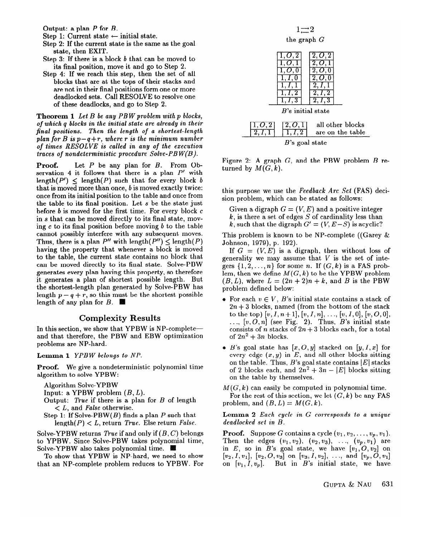Output: a plan P for B.

- Step 1: Current state  $\leftarrow$  initial state.
- Step 2: If the current state is the same as the goal state, then EXIT.
- Step 3: If there is a block *b* that can be moved to its final position, move it and go to Step 2.
- Step 4: If we reach this step, then the set of all blocks that are at the tops of their stacks and are not in their final positions form one or more deadlocked sets. Call RESOLVE to resolve one of these deadlocks, and go to Step 2.

**Theorem** *I Let B be any PB W problem with p blocks, of which q blocks in the initial state are already in their final positions. Then the length of a shortest-length plan for B is*  $p-q+r$ *, where r is the minimum number of times RESOLVE is called in any of the execution traces of nondeterministic procedure Solve-PBW(B).* 

**Proof.** Let *P* be any plan for *B*. From Observation 4 it follows that there is a plan  $P'$  with length( $P'$ )  $\leq$  length( $P$ ) such that for every block *b* that is moved more than once,  $b$  is moved exactly twice: once from its initial position to the table and once from the table to its final position. Let  $s$  be the state just before  $b$  is moved for the first time. For every block  $c$ in *s* that can be moved directly to its final state, moving c to its final position before moving  $b$  to the table cannot possibly interfere with any subsequent moves. Thus, there is a plan  $P''$  with length  $(P'') \leq$  length  $(P)$ having the property that whenever a block is moved to the table, the current state contains no block that can be moved directly to its final state. Solve-PBW generates every plan having this property, so therefore it generates a plan of shortest possible length. But the shortest-length plan generated by Solve-PBW has length  $p - q + r$ , so this must be the shortest possible length of any plan for  $B$ . length of any plan for *B.* 

**Complexity Results**<br>In this section, we show that YPBW is NP-complete and that therefore, the PBW and EBW optimization problems are NP-hard.

#### **Lemma 1** YPBW belongs to NP.

**Proof.** We give a nondeterministic polynomial time algorithm to solve YPBW:

Algorithm Solve-YPBW

Input: a YPBW problem  $(B, L)$ .

- Output: *True* if there is a plan for *B* of length  $\lt L$ , and *False* otherwise.
- Step 1: If Solve-PBW $(B)$  finds a plan  $P$  such that  $\text{length}(P) < L$ , return *True*. Else return *False*.

Solve-YPBW returns *True* if and only if  $(B, C)$  belongs. to YPBW. Since Solve-PBW takes polynomial time, Solve-YPBW also takes polynomial time.  $\blacksquare$ 

To show that YPBW is NP-hard, we need to show that an NP-complete problem reduces to YPBW. For

 $1 \rightarrow 2$ 

the graph G

|                      | 2  | $\bm{O}.2$                           |
|----------------------|----|--------------------------------------|
| $B$ 's initial state |    |                                      |
| 1, O, 2              | z. | all other blocks<br>are on the table |



Figure 2: A graph G, and the PBW problem *B* returned by  $M(G, k)$ .

this purpose *we* use the *Feedback Arc Set* (FAS) decision problem, which can be stated as follows:

Given a digraph  $G = (V, E)$  and a positive integer  $k$ , is there a set of edges S of cardinality less than  $\mu$ , is there a set of edges  $S$  or cardinality less than  $k$ , such that the digraph  $G'$  =  $\binom{k}{k}$  is a co<sub>p</sub> site

This problem is known to be NP-complete ((Garey  $\&$  Johnson, 1979), p. 192).

If  $G = (V, E)$  is a digraph, then without loss of generality we may assume that  $V$  is the set of integers  $\{1, 2, ..., n\}$  for some n. If  $(G, k)$  is a FAS problem, then we define  $M(G, k)$  to be the YPBW problem  $(B, L)$ , where  $L = (2n + 2)n + k$ , and B is the PBW  $problem defined below:$ 

- For each  $v \in V$ , B's initial state contains a stack of  $2n + 3$  blocks, named (from the bottom of the stack to the top)  $[v, I, n+1], [v, I, n], \ldots, [v, I, 0], [v, O, 0],$  $t_1, t_2, t_3, t_4, t_5, t_6, t_7, t_8, t_9$  (see Fig. 2). Thus, *B*'s initial state consists of *n* stacks of  $2n + 3$  blocks each, for a total of  $2n^2 + 3n$  blocks.
- $\bullet$  *B*'s goal state has  $[x, O, y]$  stacked on  $[y, I, x]$  for every edge  $(x, y)$  in E, and all other blocks sitting on the table. Thus,  $B$ 's goal state contains  $|E|$  stacks of 2 blocks each, and  $2n^2 + 3n - |E|$  blocks sitting on the table by themselves.

 $M(G, k)$  can easily be computed in polynomial time. For the rest of this section, we let  $(G, k)$  be any FAS problem, and  $(B, L) = M(G, k)$ .

Lemma 2 Each cycle in G corresponds to a unique deadlocked set in B.

**Proof.** Suppose G contains a cycle  $(v_1, v_2, \ldots, v_p, v_1)$ . Then the edges  $(v_1, v_2), (v_2, v_3), \ldots, (v_p, v_1)$  are in E, so in B's goal state, we have  $[v_1, O, v_2]$  on  $[v_2, I, v_1], [v_2, O, v_3]$  on  $[v_3, I, v_2], \ldots$ , and  $[v_p, O, v_1]$ on  $[v_1, I, v_p]$ . But in *B*'s initial state, we have **on [v, I, upI.** But in *B's* initial state, we have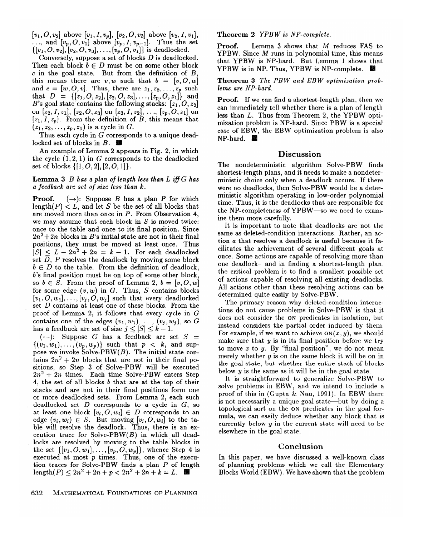$[v_1, O, v_2]$  above  $[v_1, I, v_p]$ ,  $[v_2, O, v_3]$  above  $[v_2, I, v_1]$ ,  $[v_1, \ldots, v_2]$  above  $[v_1, \ldots, v_p], [v_2, \ldots, v_{s}]$  above  $[v_2, \ldots, v_{p-1}]$ . Thus the set  $\{[v_1, O, v_2], [v_2, O, v_3], \ldots, [v_p, O, v_1]\}$  is deadlocked.

Conversely, suppose a set of blocks *D* is deadlocked. Then each block  $b \in D$  must be on some other block c in the goal state. But from the definition of *B,*  this means there are  $v, w$  such that  $b = [v, 0, w]$ and  $c = [w, O, v]$ . Thus, there are  $z_1, z_2, ..., z_p$  such that  $D = \{[z_1, O, z_2], [z_2, O, z_3], ..., [z_p, O, z_1]\}$  and *B*'s goal state contains the following stacks:  $[z_1, O, z_2]$ on  $[z_2, I, z_1]$ ,  $[z_2, O, z_3]$  on  $[z_3, I, z_2]$ , ...,  $[z_p, O, z_1]$  on  $[z_1, I, z_p]$ . From the definition of *B*, this means that  $(z_1, z_2, \ldots, z_p, z_1)$  is a cycle in G.

Thus each cycle in  $G$  corresponds to a unique deadlocked set of blocks in *B.* 

An example of Lemma 2 appears in Fig. 2, in which the cycle  $(1,2,1)$  in G corresponds to the deadlocked set of blocks  $\{[1, O, 2], [2, O, 1]\}.$ 

#### Lemma 3 *B* has a plan of length less than L iff G has *a feedback arc set of size less than k.*

**Proof.**  $(\rightarrow)$ : Suppose *B* has a plan *P* for which length( $P$ )  $\lt L$ , and let S be the set of all blocks that are moved more than once in *P*. From Observation 4, we may assume that each block in  $S$  is moved twice: once to the table and once to its final position. Since  $2n^2+2n$  blocks in *B*'s initial state are not in their final positions, they must be moved at least once. Thus  $|S| \leq L - 2n^2 + 2n = k - 1$ . For each deadlocked set  $D$ ,  $P$  resolves the deadlock by moving some block  $b \in D$  to the table. From the definition of deadlock, *b's* final position must be on top of some other block, so  $b \in S$ . From the proof of Lemma 2,  $b = [v, 0, w]$ for some edge  $(v, w)$  in  $G$ . Thus,  $S$  contains blocks  $[v_1, O, w_1], \ldots, [v_j, O, w_j]$  such that every deadlocked set *D* contains at least one of these blocks. From the proof of Lemma 2, it follows that every cycle in G contains one of the edges  $(v_1, w_1), \ldots, (v_j, w_j)$ , so G has a feedback arc set of size  $j \leq |S| \leq k - 1$ .

 $(-):$  Suppose G has a feedback arc set  $S =$  $\{(v_1, w_1), \ldots, (v_n, w_n)\}\$  such that  $p < k$ , and suppose we invoke  $Solve-PBW(B)$ . The initial state contains  $2n^2 + 2n$  blocks that are not in their final positions, so Step 3 of Solve-PBW will be executed *27x2* + *2n* times. Each time Solve-PBW enters Step 4, the set of all blocks *b* that are at the top of their stacks and are not in their final positions form one or more deadlocked sets. From Lemma 2, each such deadlocked set *D* corresponds to a cycle in G, so at least one block  $[v_i, O, w_i] \in D$  corresponds to an edge  $(v_i, w_i) \in S$ . But moving  $[v_i, O, w_i]$  to the table will resolve the deadlock. Thus, there is an execution trace for Solve-PBW $(B)$  in which all dead-locks are resolved by moving to the table blocks in locks are resolved by moving to the table blocks in the set  $\{[v_1, \ldots, v_{1}], \ldots, [v_p, \ldots, w_{p}]\}$ , whence Step 4 is executed at most  $p$  times. Thus, one of the execution traces for Solve-PBW finds a plan *P* of length length(P)  $\leq 2n^2 + 2n + p < 2n^2 + 2n + k = L$ .

#### **Theorem** *2 YPBW* is *NP-complete.*

**Proof.** Lemma 3 shows that M reduces FAS to  $YPBW.$  Since  $M$  runs in polynomial time, this means that YPBW is NP-hard. But Lemma 1 shows that YPBW is in NP. Thus, YPBW is NP-complete.

**Theorem** *3 The PBW and EBW optimization problems are NP-hard.* 

**Proof.** If we can find a shortest-length plan, then we can immediately tell whether there is a plan of length less than *L.* Thus from Theorem 2, the YPBW optimization problem is NP-hard. Since PBW is a special case of EBW, the EBW optimization problem is also NP-hard.

### **Discussion**

The nondeterministic algorithm Solve-PBW finds shortest-length plans, and it needs to make a nondeterministic choice only when a deadlock occurs. If there were no deadlocks, then Solve-PBW would be a deterministic algorithm operating in low-order polynomial time. Thus, it is the deadlocks that are responsible for the NP-completeness of YPBW-so we need to examine them more carefully.

It is important to note that deadlocks are not the same as deleted-condition interactions. Rather, an action  $a$  that resolves a deadlock is useful because it facilitates the achievement of several different goals at once. Some actions are capable of resolving more than one deadlock-and in finding a shortest-length plan, the critical problem is to find a smallest possible set of actions capable of resolving all existing deadlocks. All actions other than these resolving actions can be determined quite easily by Solve-PBW.

The primary reason why deleted-condition interactions do not cause problems in Solve-PBW is that it does not consider the ON predicates in isolation, but instead considers the partial order induced by them. For example, if we want to achieve  $ON(x, y)$ , we should make sure that  $y$  is in its final position before we try to move  $x$  to  $y$ . By "final position", we do not mean merely whether  $y$  is on the same block it will be on in the goal state, but whether the entire stack of blocks below  $y$  is the same as it will be in the goal state.

It is straightforward to generalize Solve-PBW to solve problems **in** EBW, and we intend to include a. proof of this in (Gupta  $\&$  Nau, 1991). In EBW there is not necessarily a unique goal state—but by doing a topological sort on the ON predicates in the goal formula, we can easily deduce whether any block that is currently below y in the current state will need to be elsewhere in the goal state.

#### **Conclusion**

In this paper, we have discussed a well-known class of planning problems which we call the Elementary Blocks World (EBW). We have shown that the problem